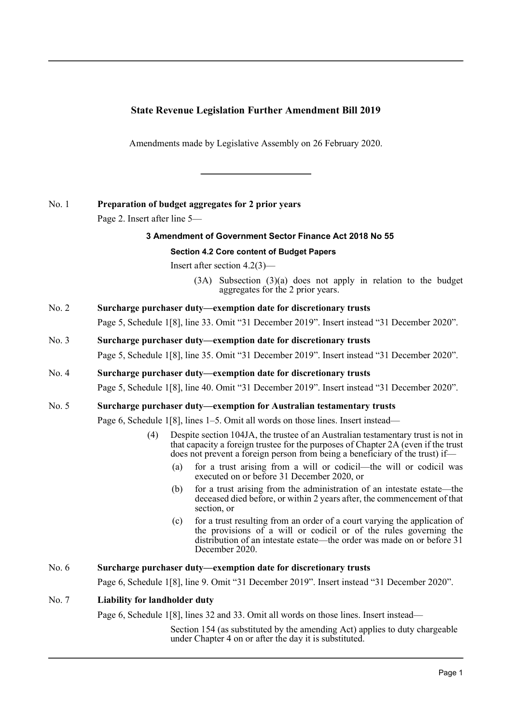## **State Revenue Legislation Further Amendment Bill 2019**

Amendments made by Legislative Assembly on 26 February 2020.

## No. 1 **Preparation of budget aggregates for 2 prior years**

Page 2. Insert after line 5—

### **3 Amendment of Government Sector Finance Act 2018 No 55**

#### **Section 4.2 Core content of Budget Papers**

Insert after section 4.2(3)—

(3A) Subsection (3)(a) does not apply in relation to the budget aggregates for the 2 prior years.

# No. 2 **Surcharge purchaser duty—exemption date for discretionary trusts**

Page 5, Schedule 1[8], line 33. Omit "31 December 2019". Insert instead "31 December 2020".

# No. 3 **Surcharge purchaser duty—exemption date for discretionary trusts**

Page 5, Schedule 1[8], line 35. Omit "31 December 2019". Insert instead "31 December 2020".

# No. 4 **Surcharge purchaser duty—exemption date for discretionary trusts** Page 5, Schedule 1[8], line 40. Omit "31 December 2019". Insert instead "31 December 2020".

## No. 5 **Surcharge purchaser duty—exemption for Australian testamentary trusts**

Page 6, Schedule 1[8], lines 1–5. Omit all words on those lines. Insert instead—

- (4) Despite section 104JA, the trustee of an Australian testamentary trust is not in that capacity a foreign trustee for the purposes of Chapter 2A (even if the trust does not prevent a foreign person from being a beneficiary of the trust) if—
	- (a) for a trust arising from a will or codicil—the will or codicil was executed on or before 31 December 2020, or
	- (b) for a trust arising from the administration of an intestate estate—the deceased died before, or within 2 years after, the commencement of that section, or
	- (c) for a trust resulting from an order of a court varying the application of the provisions of a will or codicil or of the rules governing the distribution of an intestate estate—the order was made on or before 31 December 2020.

## No. 6 **Surcharge purchaser duty—exemption date for discretionary trusts**

Page 6, Schedule 1[8], line 9. Omit "31 December 2019". Insert instead "31 December 2020".

## No. 7 **Liability for landholder duty**

Page 6, Schedule 1[8], lines 32 and 33. Omit all words on those lines. Insert instead—

Section 154 (as substituted by the amending Act) applies to duty chargeable under Chapter 4 on or after the day it is substituted.